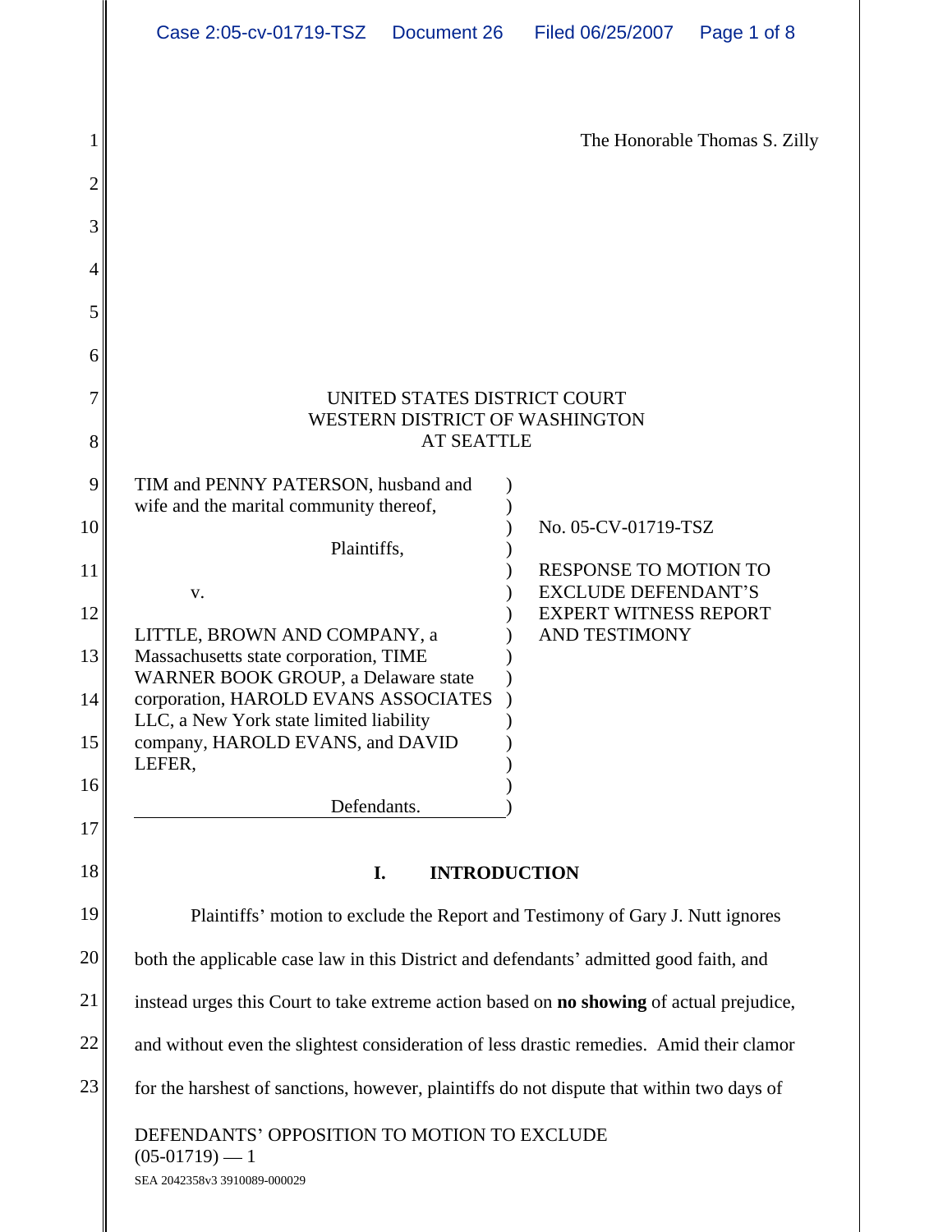| Case 2:05-cv-01719-TSZ<br>Document 26 | Filed 06/25/2007   Page 1 of 8 |  |
|---------------------------------------|--------------------------------|--|
|---------------------------------------|--------------------------------|--|

|                                                                                |                                                                                | The Honorable Thomas S. Zilly                |  |
|--------------------------------------------------------------------------------|--------------------------------------------------------------------------------|----------------------------------------------|--|
|                                                                                |                                                                                |                                              |  |
|                                                                                |                                                                                |                                              |  |
|                                                                                |                                                                                |                                              |  |
|                                                                                |                                                                                |                                              |  |
|                                                                                |                                                                                |                                              |  |
|                                                                                |                                                                                |                                              |  |
|                                                                                | UNITED STATES DISTRICT COURT                                                   |                                              |  |
|                                                                                | WESTERN DISTRICT OF WASHINGTON<br>AT SEATTLE                                   |                                              |  |
|                                                                                |                                                                                |                                              |  |
|                                                                                | TIM and PENNY PATERSON, husband and<br>wife and the marital community thereof, |                                              |  |
|                                                                                |                                                                                | No. 05-CV-01719-TSZ                          |  |
|                                                                                | Plaintiffs,                                                                    | RESPONSE TO MOTION TO                        |  |
|                                                                                |                                                                                | EXCLUDE DEFENDANT'S<br>EXPERT WITNESS REPORT |  |
|                                                                                | LITTLE, BROWN AND COMPANY, a                                                   | AND TESTIMONY                                |  |
|                                                                                | Massachusetts state corporation, TIME<br>WARNER BOOK GROUP, a Delaware state   |                                              |  |
|                                                                                | corporation, HAROLD EVANS ASSOCIATES                                           |                                              |  |
|                                                                                | LLC, a New York state limited liability<br>company, HAROLD EVANS, and DAVID    |                                              |  |
|                                                                                | LEFER,                                                                         |                                              |  |
|                                                                                | Defendants.                                                                    |                                              |  |
|                                                                                |                                                                                |                                              |  |
|                                                                                |                                                                                | <b>INTRODUCTION</b>                          |  |
| Plaintiffs' motion to exclude the Report and Testimony of Gary J. Nutt ignores |                                                                                |                                              |  |
|                                                                                |                                                                                |                                              |  |

20 both the applicable case law in this District and defendants' admitted good faith, and

21 instead urges this Court to take extreme action based on **no showing** of actual prejudice,

22 and without even the slightest consideration of less drastic remedies. Amid their clamor

23 for the harshest of sanctions, however, plaintiffs do not dispute that within two days of

DEFENDANTS' OPPOSITION TO MOTION TO EXCLUDE  $(05-01719) - 1$ 

SEA 2042358v3 3910089-000029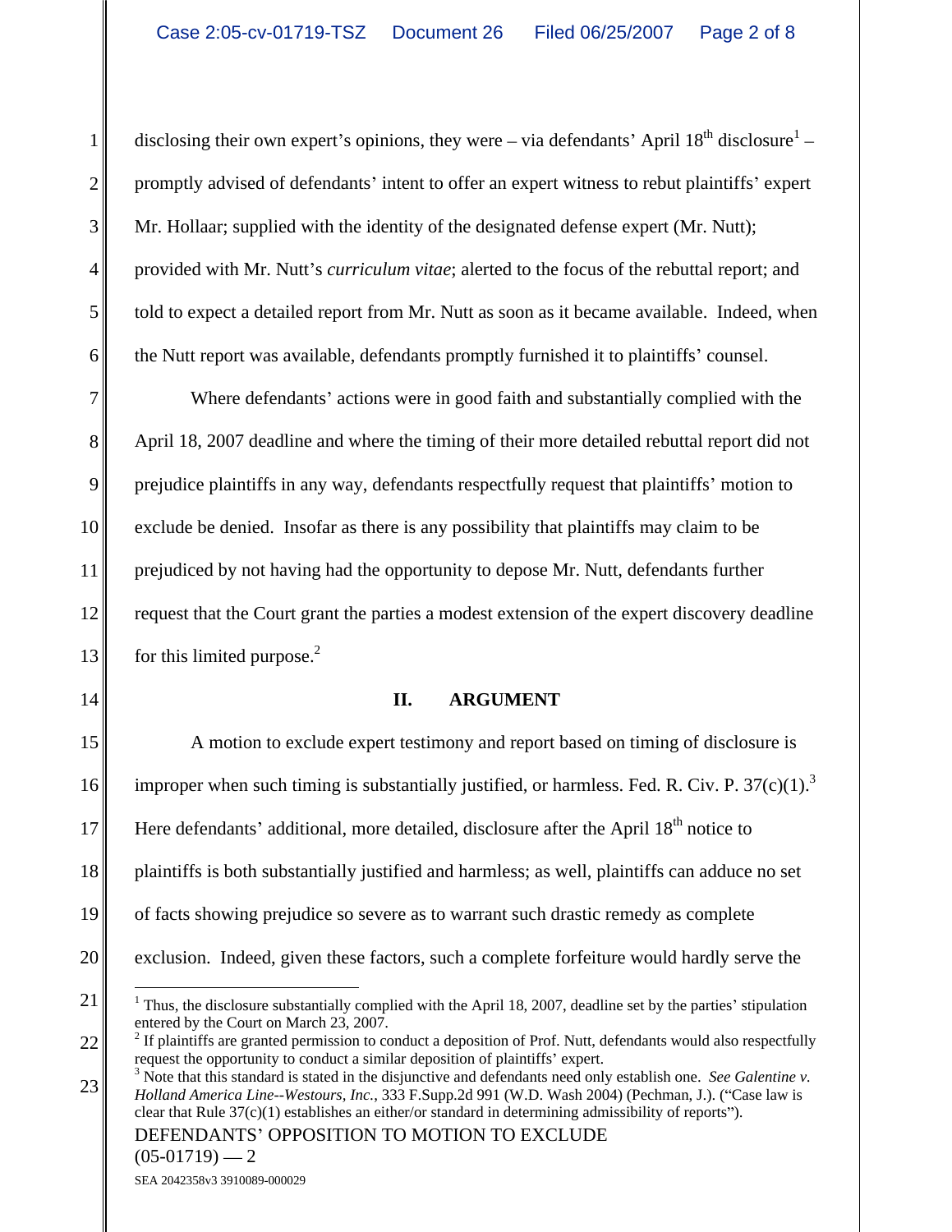1 disclosing their own expert's opinions, they were – via defendants' April  $18^{\text{th}}$  disclosure<sup>1</sup> – 2 || promptly advised of defendants' intent to offer an expert witness to rebut plaintiffs' expert || 3 Mr. Hollaar; supplied with the identity of the designated defense expert (Mr. Nutt); 4 || provided with Mr. Nutt's *curriculum vitae*; alerted to the focus of the rebuttal report; and 5 told to expect a detailed report from Mr. Nutt as soon as it became available. Indeed, when 6 the Nutt report was available, defendants promptly furnished it to plaintiffs' counsel.  $\text{th}$  disclosure<sup>1</sup> –

7 Where defendants' actions were in good faith and substantially complied with the 8 April 18, 2007 deadline and where the timing of their more detailed rebuttal report did not 9 || prejudice plaintiffs in any way, defendants respectfully request that plaintiffs' motion to 10 exclude be denied. Insofar as there is any possibility that plaintiffs may claim to be 11 || prejudiced by not having had the opportunity to depose Mr. Nutt, defendants further 12 request that the Court grant the parties a modest extension of the expert discovery deadline  $13$  for this limited purpose.<sup>2</sup> for this limited purpose.<sup>2</sup>  $\sqrt{ }$  and  $\sqrt{ }$  and  $\sqrt{ }$  and  $\sqrt{ }$  and  $\sqrt{ }$  and  $\sqrt{ }$  and  $\sqrt{ }$  and  $\sqrt{ }$  and  $\sqrt{ }$  and  $\sqrt{ }$  and  $\sqrt{ }$  and  $\sqrt{ }$  and  $\sqrt{ }$  and  $\sqrt{ }$  and  $\sqrt{ }$  and  $\sqrt{ }$  and  $\sqrt{ }$  and  $\sqrt{ }$ for this limited purpose. $^{2}$ 

#### $14$  **II.** ARGUMENT **II. ARGUMENT**

15 A motion to exclude expert testimony and report based on timing of disclosure is 16 improper when such timing is substantially justified, or harmless. Fed. R. Civ. P.  $37(c)(1)^3$ 16 improper when such timing is substantially justified, or harmless. Fed. R. Civ. P. 37(c)(1).<sup>3</sup><br>17 Here defendants' additional, more detailed, disclosure after the April 18<sup>th</sup> notice to 18 || plaintiffs is both substantially justified and harmless; as well, plaintiffs can adduce no set 19 of facts showing prejudice so severe as to warrant such drastic remedy as complete 20 exclusion. Indeed, given these factors, such a complete forfeiture would hardly serve the

<sup>21</sup>  $\parallel$   $\frac{1}{\text{Thus, the discharge substantial volume}}$  complied with the April 18, 2007, deadline set by the parties' stipulation

<sup>22</sup> entered by the Court on March 23, 2007.<br>
<sup>2</sup> If plaintiffs are granted permission to conduct a deposition of Prof. Nutt, defendants would also respectfully request the opportunity to conduct a similar deposition of plaintiffs' expert.

<sup>23</sup> *Holland America Line--Westours, Inc.*, 333 F.Supp.2d 991 (W.D. Wash 2004) (Pechman, J.). ("Case law is DEFENDANTS' OPPOSITION TO MOTION TO EXCLUDE  $(05-01719) - 2$  $3$  Note that this standard is stated in the disjunctive and defendants need only establish one. *See Galentine v.* clear that Rule  $37(c)(1)$  establishes an either/or standard in determining admissibility of reports").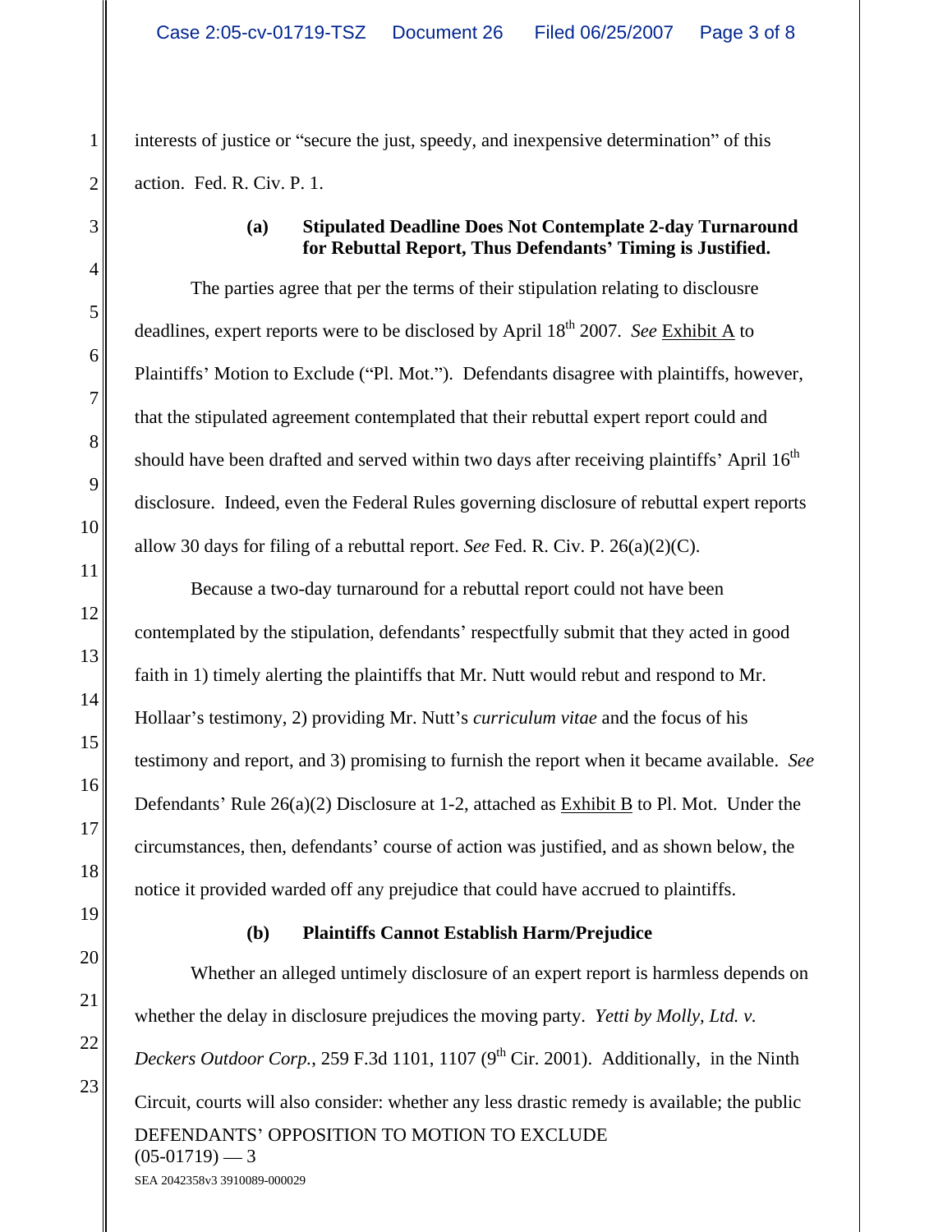1 interests of justice or "secure the just, speedy, and inexpensive determination" of this  $2 \parallel$  action. Fed. R. Civ. P. 1. action. Fed. R. Civ. P. 1.

# 3 **(a) Stipulated Deadline Does Not Contemplate 2-day Turnaround for Rebuttal Report, Thus Defendants Timing is Justified.**

 $\|A\|$  $\frac{1}{2}$  $6\|$  $7 \parallel$  $8 \parallel$  $9$  $10$ The parties agree that per the terms of their stipulation relating to disclousre deadlines, expert reports were to be disclosed by April 18<sup>th</sup> 2007. *See* Exhibit A to Plaintiffs' Motion to Exclude ("Pl. Mot."). Defendants disagree with plaintiffs, however, that the stipulated agreement contemplated that their rebuttal expert report could and should have been drafted and served within two days after receiving plaintiffs' April  $16<sup>th</sup>$ disclosure. Indeed, even the Federal Rules governing disclosure of rebuttal expert reports allow 30 days for filing of a rebuttal report. *See* Fed. R. Civ. P. 26(a)(2)(C).

 $11$   $\parallel$  $12$  $\|3\|$  $14$  $15$  $16$  $17$  $\|3\|$ Because a two-day turnaround for a rebuttal report could not have been contemplated by the stipulation, defendants' respectfully submit that they acted in good faith in 1) timely alerting the plaintiffs that Mr. Nutt would rebut and respond to Mr. Hollaar's testimony, 2) providing Mr. Nutt's *curriculum vitae* and the focus of his testimony and report, and 3) promising to furnish the report when it became available. *See* Defendants' Rule  $26(a)(2)$  Disclosure at 1-2, attached as Exhibit B to Pl. Mot. Under the circumstances, then, defendants' course of action was justified, and as shown below, the notice it provided warded off any prejudice that could have accrued to plaintiffs.

### $19$ **(b) Plaintiffs Cannot Establish Harm/Prejudice**

 $20$  and  $\sim$  20 and  $\sim$  20 and  $\sim$  20 and  $\sim$  20 and  $\sim$  20 and  $\sim$  20 and  $\sim$  20 and  $\sim$  20 and  $\sim$  20 and  $\sim$  20 and  $\sim$  20 and  $\sim$  20 and  $\sim$  20 and  $\sim$  20 and  $\sim$  20 and  $\sim$  20 and  $\sim$  20 and  $\sim$  20  $21$  and  $21$  and  $21$  and  $21$  and  $21$  and  $21$  and  $21$  and  $21$  and  $21$  and  $21$  and  $21$  and  $21$  and  $21$  and  $21$  and  $21$  and  $21$  and  $21$  and  $21$  and  $21$  and  $21$  and  $21$  and  $21$  and  $21$  and  $21$  and  $21$   $22$   $\|$   $\|$ 23 DEFENDANTS' OPPOSITION TO MOTION TO EXCLUDE  $(05-01719)$   $-3$ SEA 2042358v3 3910089-000029 Whether an alleged untimely disclosure of an expert report is harmless depends on whether the delay in disclosure prejudices the moving party. *Yetti by Molly, Ltd. v.*<br>Deckers Outdoor Corp., 259 F.3d 1101, 1107 (9<sup>th</sup> Cir. 2001). Additionally, in the Ninth Circuit, courts will also consider: whether any less drastic remedy is available; the public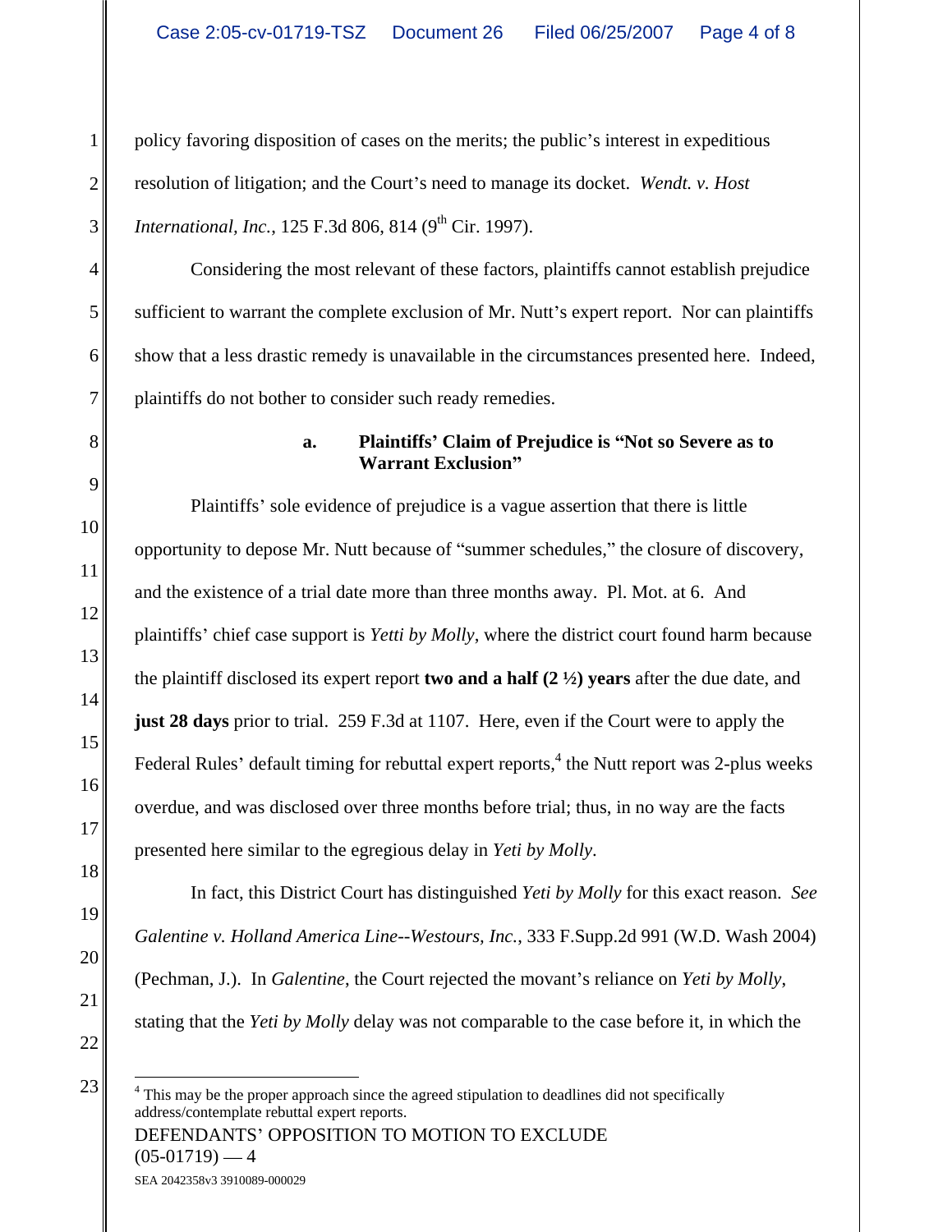1 policy favoring disposition of cases on the merits; the public's interest in expeditious 2<sup> $\parallel$ </sup> resolution of litigation; and the Court's need to manage its docket. *Wendt. v. Host* 3 *International, Inc., 125 F.3d 806, 814 (9<sup>th</sup> Cir. 1997).* 

*International, Inc.*, 125 F.3d 806, 814 (9<sup>th</sup> Cir. 1997).<br> **A** Considering the most relevant of these factors, plaintiffs cannot establish prejudice 5 sufficient to warrant the complete exclusion of Mr. Nutt's expert report. Nor can plaintiffs  $\vert$ 6 show that a less drastic remedy is unavailable in the circumstances presented here. Indeed, 7 plaintiffs do not bother to consider such ready remedies.

# 8 **a. Plaintiffs Claim of Prejudice is Not so Severe as to Warrant Exclusion**"

 $9$  $10$  $11$   $\parallel$  $12$  $\|3\|$  $14$  $15$  $16$  $17$ Plaintiffs' sole evidence of prejudice is a vague assertion that there is little opportunity to depose Mr. Nutt because of "summer schedules," the closure of discovery, and the existence of a trial date more than three months away. Pl. Mot. at 6. And plaintiffs chief case support is *Yetti by Molly*, where the district court found harm because the plaintiff disclosed its expert report **two and a half (2 ½) years** after the due date, and **just 28 days** prior to trial. 259 F.3d at 1107. Here, even if the Court were to apply the Federal Rules' default timing for rebuttal expert reports,<sup>4</sup> the Nutt report was 2-plus weeks overdue, and was disclosed over three months before trial; thus, in no way are the facts presented here similar to the egregious delay in *Yeti by Molly*.

 $19$  $20$  $21$ In fact, this District Court has distinguished *Yeti by Molly* for this exact reason. *See Galentine v. Holland America Line--Westours, Inc.*, 333 F.Supp.2d 991 (W.D. Wash 2004) (Pechman, J.). In *Galentine*, the Court rejected the movant's reliance on *Yeti by Molly*,<br>stating that the *Yeti by Molly* delay was not comparable to the case before it, in which the

 $23 \n\Big\|$   $\Big\|$   $\Big\|$   $\Big\|$   $\Big\|$  This may be the proper approach since the agreed stipulation to deadlines did not specifically DEFENDANTS' OPPOSITION TO MOTION TO EXCLUDE  $(05-01719)$   $-4$ SEA 2042358v3 3910089-000029 address/contemplate rebuttal expert reports.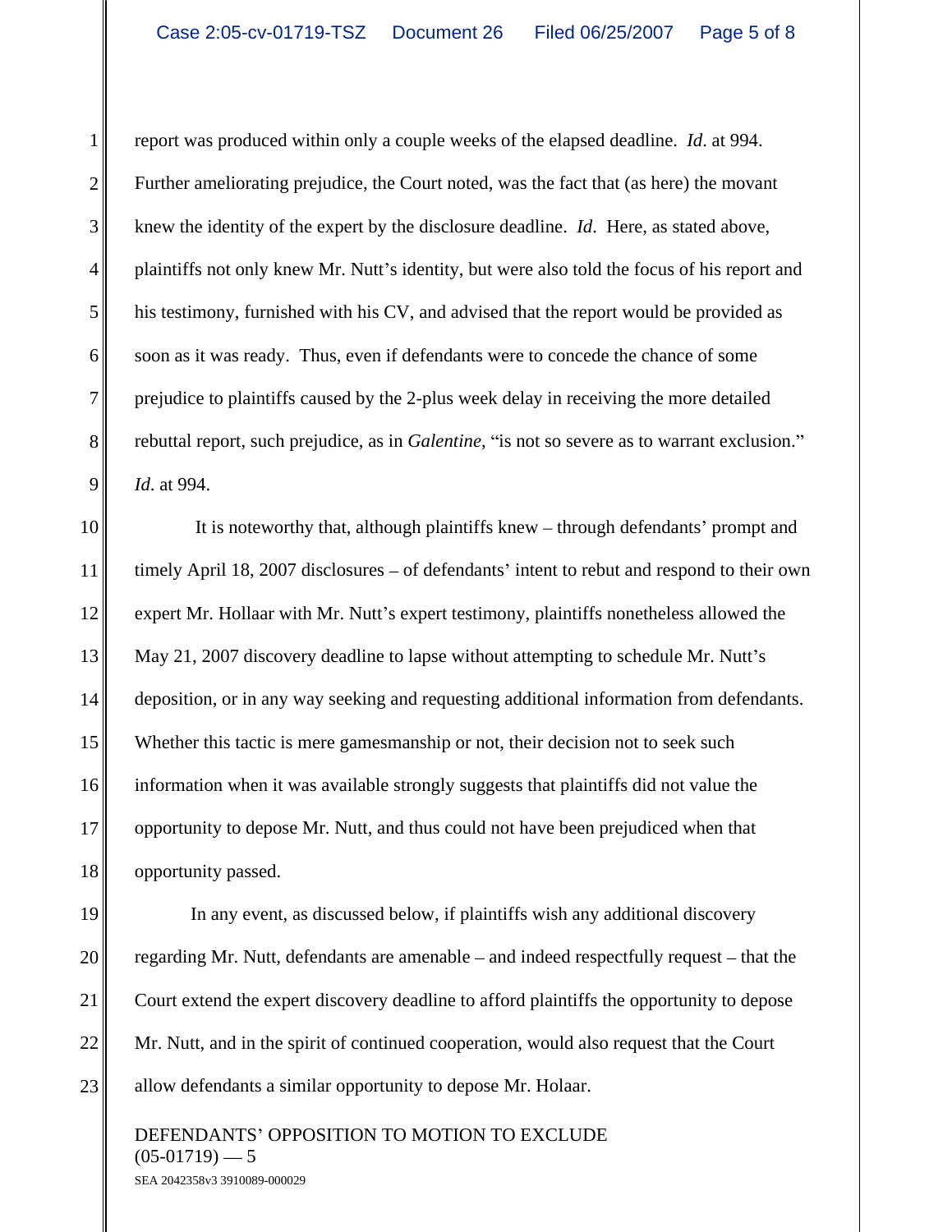1 report was produced within only a couple weeks of the elapsed deadline. Id. at 994. report was produced within only a couple weeks of the elapsed deadline. *Id*. at 994.<br>Further ameliorating prejudice, the Court noted, was the fact that (as here) the movant 3 knew the identity of the expert by the disclosure deadline. *Id*. Here, as stated above, 4 || plaintiffs not only knew Mr. Nutt's identity, but were also told the focus of his report and 5 his testimony, furnished with his CV, and advised that the report would be provided as 6 soon as it was ready. Thus, even if defendants were to concede the chance of some 7 prejudice to plaintiffs caused by the 2-plus week delay in receiving the more detailed 8<sup> $\parallel$ </sup> rebuttal report, such prejudice, as in *Galentine*, "is not so severe as to warrant exclusion."  $9 \parallel$  *Id.* at 994.

10 It is noteworthy that, although plaintiffs knew – through defendants' prompt and 11 timely April 18, 2007 disclosures – of defendants' intent to rebut and respond to their own 12 expert Mr. Hollaar with Mr. Nutt's expert testimony, plaintiffs nonetheless allowed the 13 May 21, 2007 discovery deadline to lapse without attempting to schedule Mr. Nutt's 14 deposition, or in any way seeking and requesting additional information from defendants.<br>15 Whether this tactic is mere gamesmanship or not, their decision not to seek such 15 Whether this tactic is mere games manship or not, their decision not to seek such 16 information when it was available strongly suggests that plaintiffs did not value the 17 opportunity to depose Mr. Nutt, and thus could not have been prejudiced when that 18 opportunity passed. *Id*. at 994.<br>It is noteworthy that, although plaintiffs knew – through defendants' prompt and opportunity passed.

19 In any event, as discussed below, if plaintiffs wish any additional discovery  $20$   $\parallel$  regarding Mr. Nutt, defendants are amenable – and indeed respectfully request – that the 21 Court extend the expert discovery deadline to afford plaintiffs the opportunity to depose 22 Mr. Nutt, and in the spirit of continued cooperation, would also request that the Court 23 allow defendants a similar opportunity to depose Mr. Holaar.

DEFENDANTS' OPPOSITION TO MOTION TO EXCLUDE  $(05-01719)$   $-5$ SEA 2042358v3 3910089-000029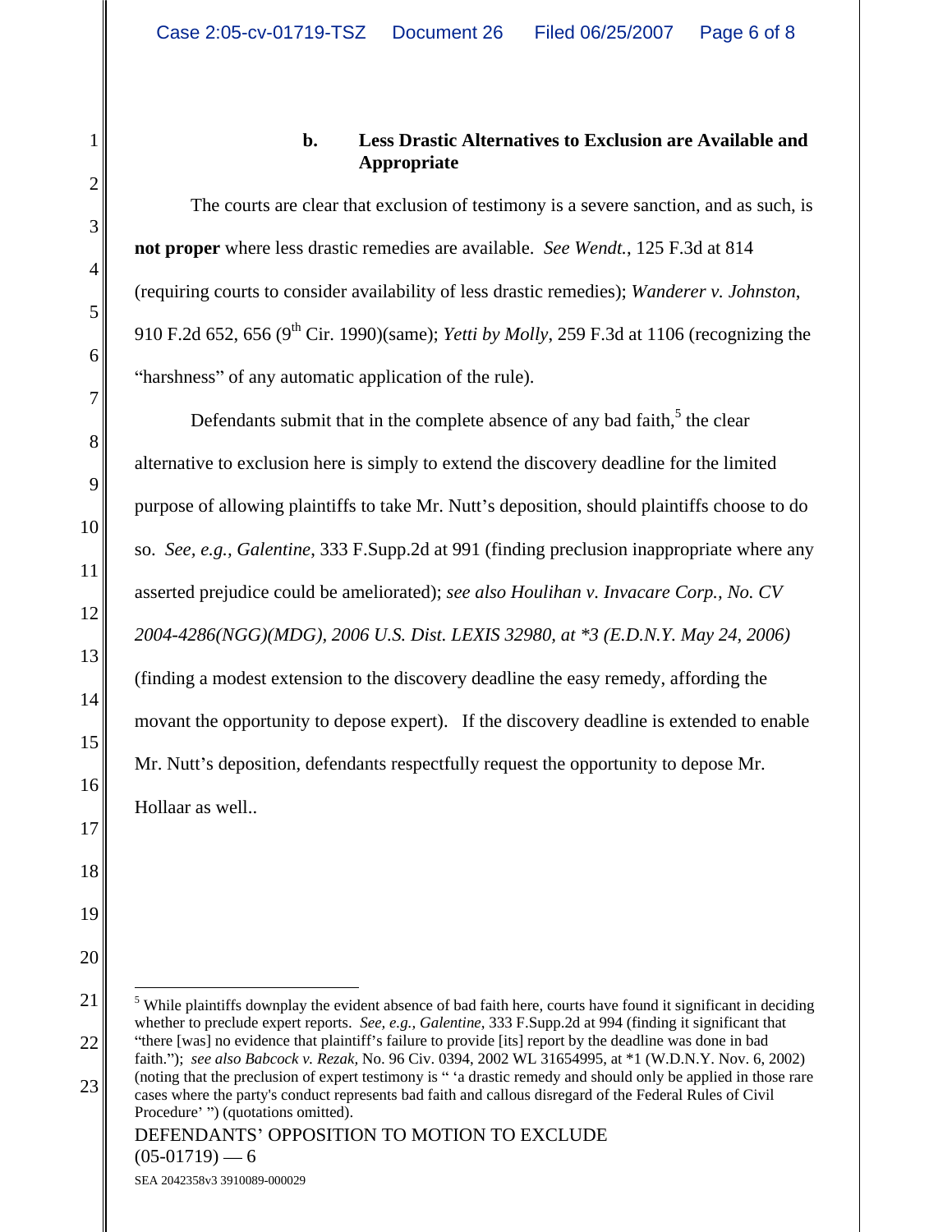## 1 **b. Less Drastic Alternatives to Exclusion are Available and Appropriate**

 $3\parallel$  $\|A\|$  $5\|$  $6\|$ The courts are clear that exclusion of testimony is a severe sanction, and as such, is **not proper** where less drastic remedies are available. *See Wendt.*, 125 F.3d at 814 (requiring courts to consider availability of less drastic remedies); *Wanderer v. Johnston*, 910 F.2d 652, 656 (9<sup>th</sup> Cir. 1990)(same); *Yetti by Molly*, 259 F.3d at 1106 (recognizing the "harshness" of any automatic application of the rule).

 $8 \parallel$  $9$  $10$  $11$   $\parallel$  $12$  $\|3\|$  $14$  $15$  $16$ Defendants submit that in the complete absence of any bad faith, $5$  the clear the clear alternative to exclusion here is simply to extend the discovery deadline for the limited purpose of allowing plaintiffs to take Mr. Nutt's deposition, should plaintiffs choose to do so. *See, e.g., Galentine*, 333 F.Supp.2d at 991 (finding preclusion inappropriate where any asserted prejudice could be ameliorated); *see also Houlihan v. Invacare Corp., No. CV 2004-4286(NGG)(MDG), 2006 U.S. Dist. LEXIS 32980, at \*3 (E.D.N.Y. May 24, 2006)*  (finding a modest extension to the discovery deadline the easy remedy, affording the movant the opportunity to depose expert). If the discovery deadline is extended to enable Mr. Nutt's deposition, defendants respectfully request the opportunity to depose Mr. Hollaar as well..

 $20$ 21  $\frac{1}{s}$  While plaintiffs downplay the evident absence of bad faith here, courts have found it significant in deciding  $22 \parallel$  "there [was] no evidence that plaintiff's failure to provide [its] report by the deadline was done in bad 23<br>cases where the party's conduct represents bad faith and callous disregard of the Federal Rules of Civil DEFENDANTS' OPPOSITION TO MOTION TO EXCLUDE  $(05-01719)$   $-6$ whether to preclude expert reports. *See, e.g., Galentine*, 333 F.Supp.2d at 994 (finding it significant that faith. ); *see also Babcock v. Rezak,* No. 96 Civ. 0394, 2002 WL 31654995, at \*1 (W.D.N.Y. Nov. 6, 2002) (noting that the preclusion of expert testimony is "'a drastic remedy and should only be applied in those rare Procedure' ") (quotations omitted).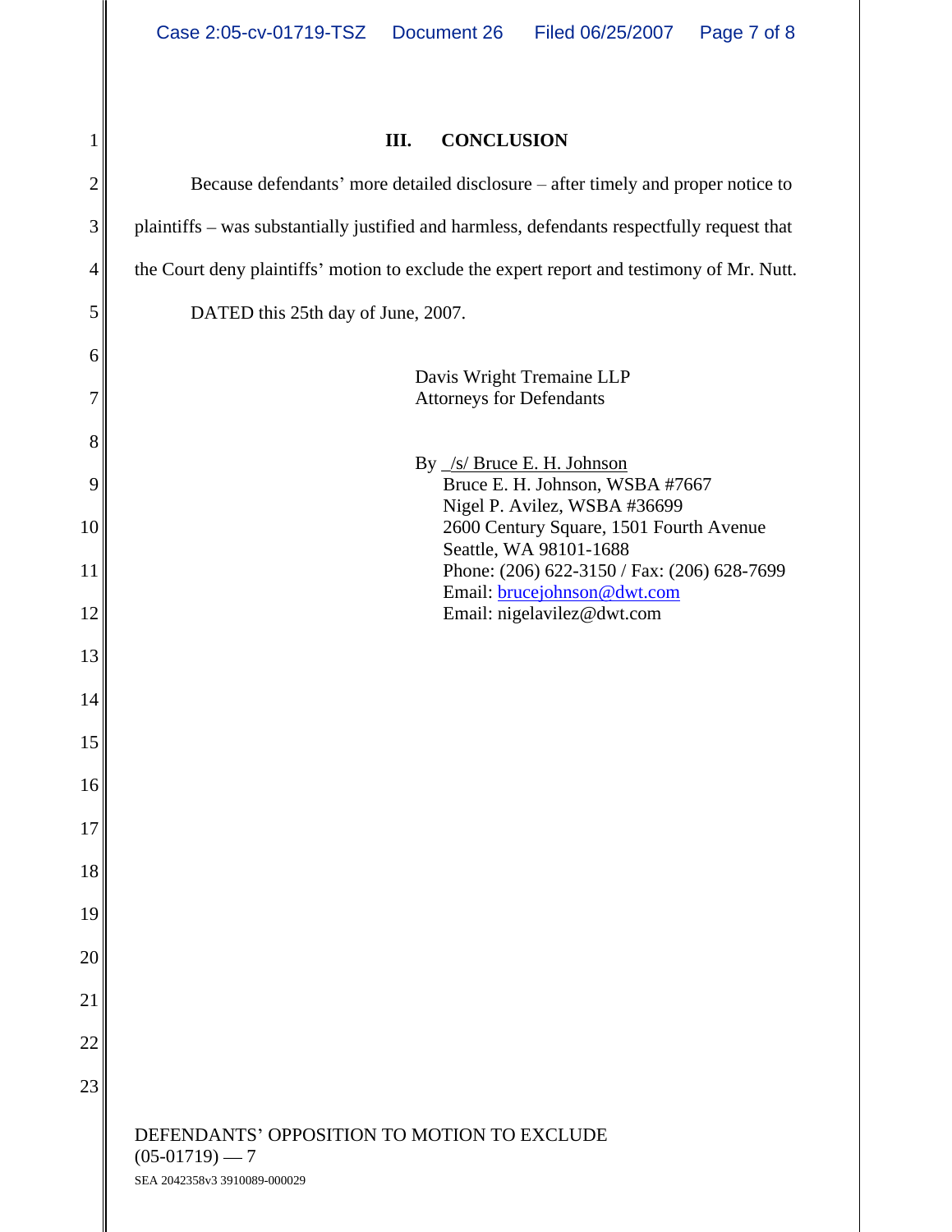$\begin{array}{c|c}\n 1 \quad \text{III.} \quad \text{CONCLUSION}\n\end{array}$ **III. CONCLUSION**

|                  | Because defendants' more detailed disclosure - after timely and proper notice to            |
|------------------|---------------------------------------------------------------------------------------------|
|                  | plaintiffs - was substantially justified and harmless, defendants respectfully request that |
|                  | the Court deny plaintiffs' motion to exclude the expert report and testimony of Mr. Nutt.   |
|                  |                                                                                             |
|                  | DATED this 25th day of June, 2007.                                                          |
|                  | Davis Wright Tremaine LLP                                                                   |
|                  | <b>Attorneys for Defendants</b>                                                             |
|                  |                                                                                             |
|                  | By /s/ Bruce E. H. Johnson<br>Bruce E. H. Johnson, WSBA #7667                               |
| 10               | Nigel P. Avilez, WSBA #36699                                                                |
|                  | 2600 Century Square, 1501 Fourth Avenue<br>Seattle, WA 98101-1688                           |
| 11 I             | Phone: (206) 622-3150 / Fax: (206) 628-7699<br>Email: brucejohnson@dwt.com                  |
| 12               | Email: nigelavilez@dwt.com                                                                  |
| 13               |                                                                                             |
| 14               |                                                                                             |
|                  |                                                                                             |
| 15               |                                                                                             |
| 16               |                                                                                             |
| 17               |                                                                                             |
| 18 <sup>  </sup> |                                                                                             |
|                  |                                                                                             |
| 19 I             |                                                                                             |
| 20               |                                                                                             |
| 21               |                                                                                             |
| 22               |                                                                                             |
| 23               |                                                                                             |
|                  |                                                                                             |
|                  | DEFENDANTS' OPPOSITION TO MOTION TO EXCLUDE<br>$(05-01719) - 7$                             |
|                  | SEA 2042358v3 3910089-000029                                                                |

∥